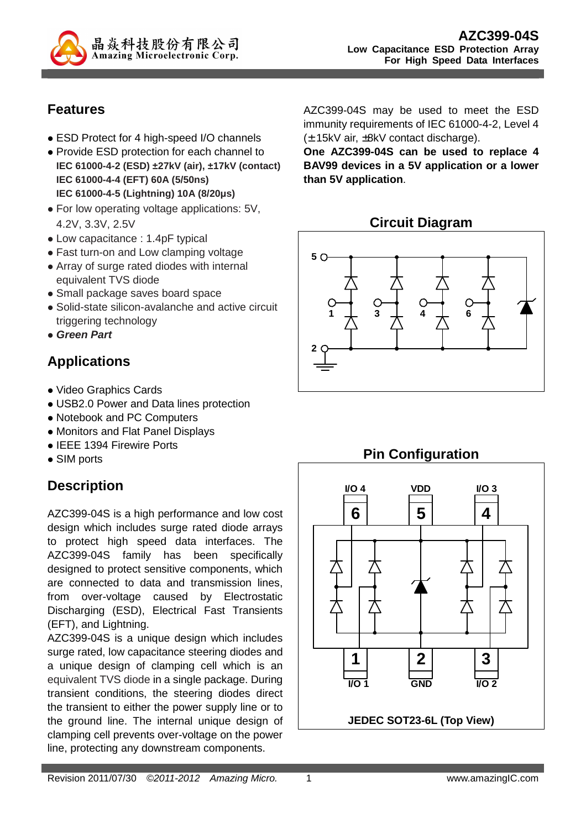

## **Features**

- ESD Protect for 4 high-speed I/O channels
- Provide ESD protection for each channel to **IEC 61000-4-2 (ESD) ±27kV (air), ±17kV (contact) IEC 61000-4-4 (EFT) 60A (5/50ns) IEC 61000-4-5 (Lightning) 10A (8/20µs)**
- For low operating voltage applications: 5V, 4.2V, 3.3V, 2.5V
- Low capacitance : 1.4pF typical
- Fast turn-on and Low clamping voltage
- Array of surge rated diodes with internal equivalent TVS diode
- Small package saves board space
- Solid-state silicon-avalanche and active circuit triggering technology
- **Green Part**

# **Applications**

- Video Graphics Cards
- USB2.0 Power and Data lines protection
- Notebook and PC Computers
- Monitors and Flat Panel Displays
- IEEE 1394 Firewire Ports
- SIM ports

# **Description**

AZC399-04S is a high performance and low cost design which includes surge rated diode arrays to protect high speed data interfaces. The AZC399-04S family has been specifically designed to protect sensitive components, which are connected to data and transmission lines, from over-voltage caused by Electrostatic Discharging (ESD), Electrical Fast Transients (EFT), and Lightning.

AZC399-04S is a unique design which includes surge rated, low capacitance steering diodes and a unique design of clamping cell which is an equivalent TVS diode in a single package. During transient conditions, the steering diodes direct the transient to either the power supply line or to the ground line. The internal unique design of clamping cell prevents over-voltage on the power line, protecting any downstream components.

AZC399-04S may be used to meet the ESD immunity requirements of IEC 61000-4-2, Level 4 (± 15kV air, ±8kV contact discharge).

**One AZC399-04S can be used to replace 4 BAV99 devices in a 5V application or a lower than 5V application**.

## **Circuit Diagram**



# **Pin Configuration**

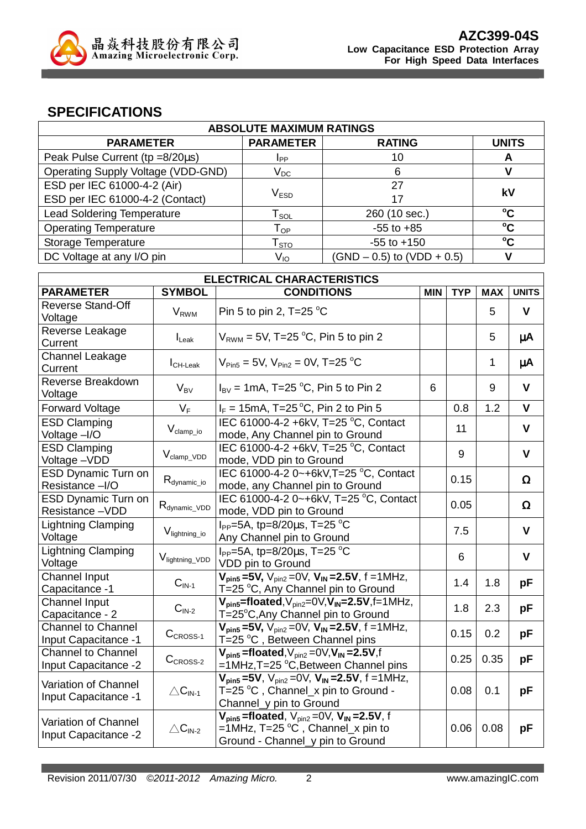

### **SPECIFICATIONS**

| <b>ABSOLUTE MAXIMUM RATINGS</b>    |                             |                                |                 |
|------------------------------------|-----------------------------|--------------------------------|-----------------|
| <b>PARAMETER</b>                   | <b>PARAMETER</b>            | <b>RATING</b>                  | <b>UNITS</b>    |
| Peak Pulse Current (tp =8/20us)    | I <sub>PP</sub>             | 10                             |                 |
| Operating Supply Voltage (VDD-GND) | $\mathsf{V}_\mathsf{DC}$    | 6                              |                 |
| ESD per IEC 61000-4-2 (Air)        |                             | 27                             | kV              |
| ESD per IEC 61000-4-2 (Contact)    | $\mathsf{V}_{\texttt{ESD}}$ | 17                             |                 |
| <b>Lead Soldering Temperature</b>  | l sol                       | 260 (10 sec.)                  | $^{\circ}$ C    |
| <b>Operating Temperature</b>       | ${\mathsf T}_{\textsf{OP}}$ | $-55$ to $+85$                 | $\rm ^{\circ}C$ |
| Storage Temperature                | $\mathsf{T}_{\text{STO}}$   | $-55$ to $+150$                | $^{\circ}$ C    |
| DC Voltage at any I/O pin          | V <sub>IO</sub>             | $(SND - 0.5)$ to $(VDD + 0.5)$ |                 |

| <b>ELECTRICAL CHARACTERISTICS</b>                        |                             |                                                                                                                                   |   |            |            |              |
|----------------------------------------------------------|-----------------------------|-----------------------------------------------------------------------------------------------------------------------------------|---|------------|------------|--------------|
| <b>PARAMETER</b>                                         | <b>SYMBOL</b>               | <b>CONDITIONS</b><br><b>MIN</b>                                                                                                   |   | <b>TYP</b> | <b>MAX</b> | <b>UNITS</b> |
| <b>Reverse Stand-Off</b><br>Voltage                      | <b>V</b> <sub>RWM</sub>     | Pin 5 to pin 2, T=25 $^{\circ}$ C                                                                                                 |   |            | 5          | V            |
| Reverse Leakage<br>Current                               | $I_{\text{L}eak}$           | $V_{RWM}$ = 5V, T=25 °C, Pin 5 to pin 2                                                                                           |   |            | 5          | μA           |
| Channel Leakage<br>Current                               | $I_{CH\text{-}\text{Leak}}$ | $V_{\text{Pin5}} = 5V$ , $V_{\text{Pin2}} = 0V$ , T=25 °C                                                                         |   |            | 1          | μA           |
| Reverse Breakdown<br>Voltage                             | $V_{BV}$                    | $I_{\text{BV}}$ = 1mA, T=25 °C, Pin 5 to Pin 2                                                                                    | 6 |            | 9          | $\mathbf{V}$ |
| <b>Forward Voltage</b>                                   | $V_F$                       | $I_F = 15 \text{mA}, T = 25 \text{°C}, P \text{in } 2 \text{ to Pin } 5$                                                          |   | 0.8        | 1.2        | $\mathbf{V}$ |
| <b>ESD Clamping</b><br>Voltage -I/O                      | $V_{clamp\_io}$             | IEC 61000-4-2 +6kV, T=25 °C, Contact<br>mode, Any Channel pin to Ground                                                           |   | 11         |            | $\mathbf{V}$ |
| <b>ESD Clamping</b><br>Voltage-VDD                       | $V_{\text{clamp\_VDD}}$     | IEC 61000-4-2 +6kV, T=25 °C, Contact<br>mode, VDD pin to Ground                                                                   |   | 9          |            | $\mathbf{V}$ |
| <b>ESD Dynamic Turn on</b><br>Resistance -I/O            | $R_{\text{dynamic\_io}}$    | IEC 61000-4-2 0~+6kV, T=25 °C, Contact<br>mode, any Channel pin to Ground                                                         |   | 0.15       |            | $\Omega$     |
| <b>ESD Dynamic Turn on</b><br>Resistance-VDD             | $R_{dynamic\_VDD}$          | IEC 61000-4-2 0~+6kV, T=25 °C, Contact<br>mode, VDD pin to Ground                                                                 |   | 0.05       |            | $\Omega$     |
| <b>Lightning Clamping</b><br>Voltage                     | V <sub>lightning_io</sub>   | $I_{PP}$ =5A, tp=8/20 $\mu$ s, T=25 °C<br>Any Channel pin to Ground                                                               |   | 7.5        |            | $\mathbf{V}$ |
| Lightning Clamping<br>Voltage                            | V <sub>lightning_VDD</sub>  | $I_{PP}$ =5A, tp=8/20 $\mu$ s, T=25 °C<br>VDD pin to Ground                                                                       |   | 6          |            | $\mathbf v$  |
| <b>Channel Input</b><br>Capacitance -1                   | $CIN-1$                     | $V_{\text{pin5}} = 5V$ , $V_{\text{pin2}} = 0V$ , $V_{\text{IN}} = 2.5V$ , f = 1MHz,<br>T=25 °C, Any Channel pin to Ground        |   | 1.4        | 1.8        | pF           |
| Channel Input<br>Capacitance - 2                         | $\mathbf{C}_\text{IN-2}$    | $V_{\text{pin5}}$ =floated, $V_{\text{pin2}}$ =0 $V, V_{\text{IN}}$ =2.5V,f=1MHz,<br>T=25°C,Any Channel pin to Ground             |   | 1.8        | 2.3        | pF           |
| <b>Channel to Channel</b><br><b>Input Capacitance -1</b> | $CCROS-1$                   | $V_{pin5} = 5V$ , $V_{pin2} = 0V$ , $V_{IN} = 2.5V$ , f = 1MHz,<br>T=25 °C, Between Channel pins                                  |   | 0.15       | 0.2        | pF           |
| <b>Channel to Channel</b><br>Input Capacitance -2        | $CCROS-2$                   | $V_{pin5}$ =floated, $V_{pin2}$ =0 $V, V_{IN}$ =2.5V,f<br>=1MHz,T=25 °C,Between Channel pins                                      |   | 0.25       | 0.35       | pF           |
| Variation of Channel<br>Input Capacitance -1             | $\triangle C_{IN-1}$        | $V_{pin5} = 5V$ , $V_{pin2} = 0V$ , $V_{IN} = 2.5V$ , f = 1MHz,<br>T=25 °C , Channel_x pin to Ground -<br>Channel_y pin to Ground |   | 0.08       | 0.1        | pF           |
| Variation of Channel<br>Input Capacitance -2             | $\triangle C_{IN-2}$        | $V_{pin5}$ =floated, $V_{pin2}$ =0V, $V_{IN}$ =2.5V, f<br>=1MHz, T=25 °C, Channel_x pin to<br>Ground - Channel_y pin to Ground    |   | 0.06       | 0.08       | рF           |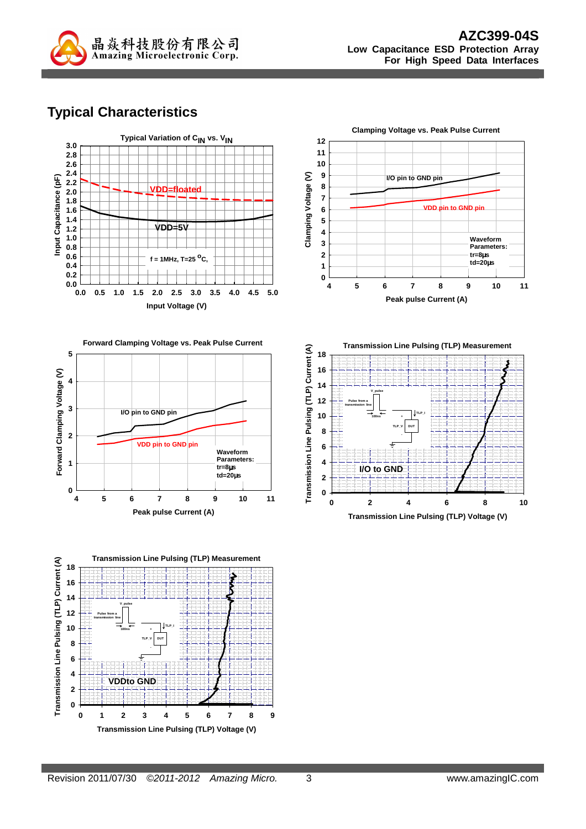

# **Typical Characteristics**









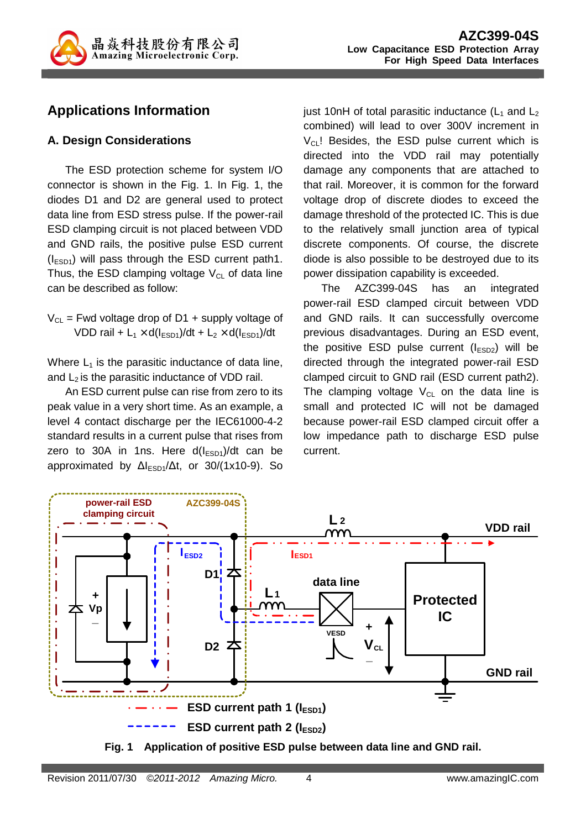

## **Applications Information**

### **A. Design Considerations**

The ESD protection scheme for system I/O connector is shown in the Fig. 1. In Fig. 1, the diodes D1 and D2 are general used to protect data line from ESD stress pulse. If the power-rail ESD clamping circuit is not placed between VDD and GND rails, the positive pulse ESD current  $(I<sub>ESD1</sub>)$  will pass through the ESD current path1. Thus, the ESD clamping voltage  $V_{CL}$  of data line can be described as follow:

 $V_{CL}$  = Fwd voltage drop of D1 + supply voltage of VDD rail +  $L_1 \times d(l_{ESD1})/dt + L_2 \times d(l_{ESD1})/dt$ 

Where  $L_1$  is the parasitic inductance of data line, and  $L_2$  is the parasitic inductance of VDD rail.

An ESD current pulse can rise from zero to its peak value in a very short time. As an example, a level 4 contact discharge per the IEC61000-4-2 standard results in a current pulse that rises from zero to 30A in 1ns. Here  $d(I<sub>ESD1</sub>)/dt$  can be approximated by  $\Delta l_{ESD1}/\Delta t$ , or 30/(1x10-9). So just 10nH of total parasitic inductance  $(L_1$  and  $L_2$ combined) will lead to over 300V increment in  $V_{CL}$ ! Besides, the ESD pulse current which is directed into the VDD rail may potentially damage any components that are attached to that rail. Moreover, it is common for the forward voltage drop of discrete diodes to exceed the damage threshold of the protected IC. This is due to the relatively small junction area of typical discrete components. Of course, the discrete diode is also possible to be destroyed due to its power dissipation capability is exceeded.

The AZC399-04S has an integrated power-rail ESD clamped circuit between VDD and GND rails. It can successfully overcome previous disadvantages. During an ESD event, the positive ESD pulse current  $(I_{ESD2})$  will be directed through the integrated power-rail ESD clamped circuit to GND rail (ESD current path2). The clamping voltage  $V_{CL}$  on the data line is small and protected IC will not be damaged because power-rail ESD clamped circuit offer a low impedance path to discharge ESD pulse current.



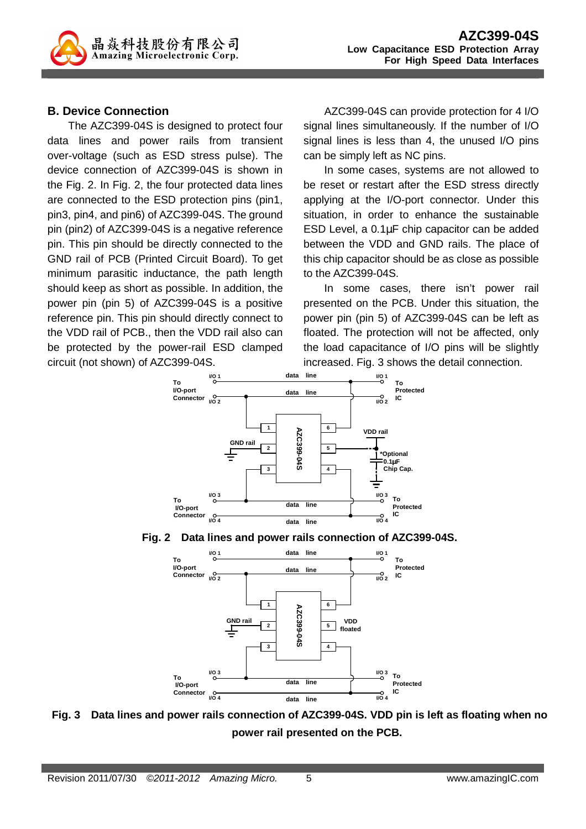

### **B. Device Connection**

The AZC399-04S is designed to protect four data lines and power rails from transient over-voltage (such as ESD stress pulse). The device connection of AZC399-04S is shown in the Fig. 2. In Fig. 2, the four protected data lines are connected to the ESD protection pins (pin1, pin3, pin4, and pin6) of AZC399-04S. The ground pin (pin2) of AZC399-04S is a negative reference pin. This pin should be directly connected to the GND rail of PCB (Printed Circuit Board). To get minimum parasitic inductance, the path length should keep as short as possible. In addition, the power pin (pin 5) of AZC399-04S is a positive reference pin. This pin should directly connect to the VDD rail of PCB., then the VDD rail also can be protected by the power-rail ESD clamped circuit (not shown) of AZC399-04S.

AZC399-04S can provide protection for 4 I/O signal lines simultaneously. If the number of I/O signal lines is less than 4, the unused I/O pins can be simply left as NC pins.

In some cases, systems are not allowed to be reset or restart after the ESD stress directly applying at the I/O-port connector. Under this situation, in order to enhance the sustainable ESD Level, a 0.1µF chip capacitor can be added between the VDD and GND rails. The place of this chip capacitor should be as close as possible to the AZC399-04S.

In some cases, there isn't power rail presented on the PCB. Under this situation, the power pin (pin 5) of AZC399-04S can be left as floated. The protection will not be affected, only the load capacitance of I/O pins will be slightly increased. Fig. 3 shows the detail connection.







**Fig. 3 Data lines and power rails connection of AZC399-04S. VDD pin is left as floating when no power rail presented on the PCB.**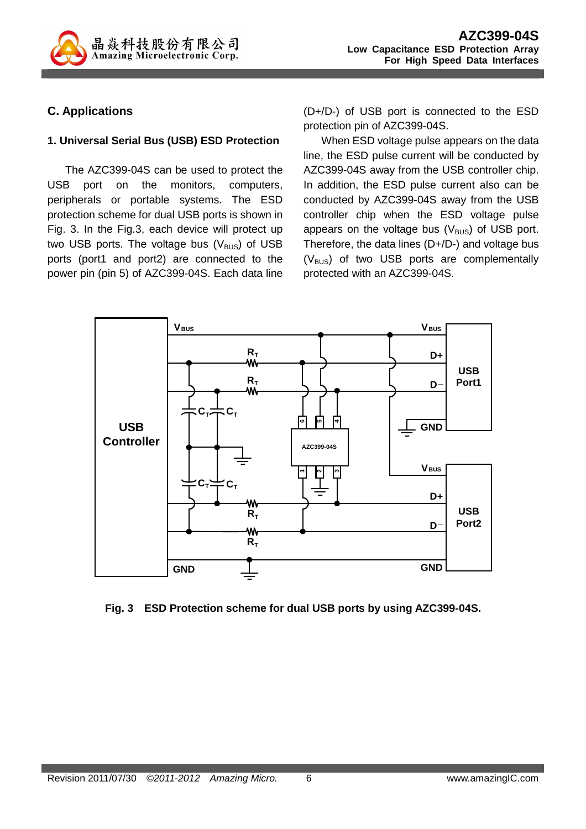

### **C. Applications**

### **1. Universal Serial Bus (USB) ESD Protection**

The AZC399-04S can be used to protect the USB port on the monitors, computers, peripherals or portable systems. The ESD protection scheme for dual USB ports is shown in Fig. 3. In the Fig.3, each device will protect up two USB ports. The voltage bus  $(V_{\text{BUS}})$  of USB ports (port1 and port2) are connected to the power pin (pin 5) of AZC399-04S. Each data line (D+/D-) of USB port is connected to the ESD protection pin of AZC399-04S.

When ESD voltage pulse appears on the data line, the ESD pulse current will be conducted by AZC399-04S away from the USB controller chip. In addition, the ESD pulse current also can be conducted by AZC399-04S away from the USB controller chip when the ESD voltage pulse appears on the voltage bus  $(V_{\text{BUS}})$  of USB port. Therefore, the data lines (D+/D-) and voltage bus  $(V_{\text{BUS}})$  of two USB ports are complementally protected with an AZC399-04S.



**Fig. 3 ESD Protection scheme for dual USB ports by using AZC399-04S.**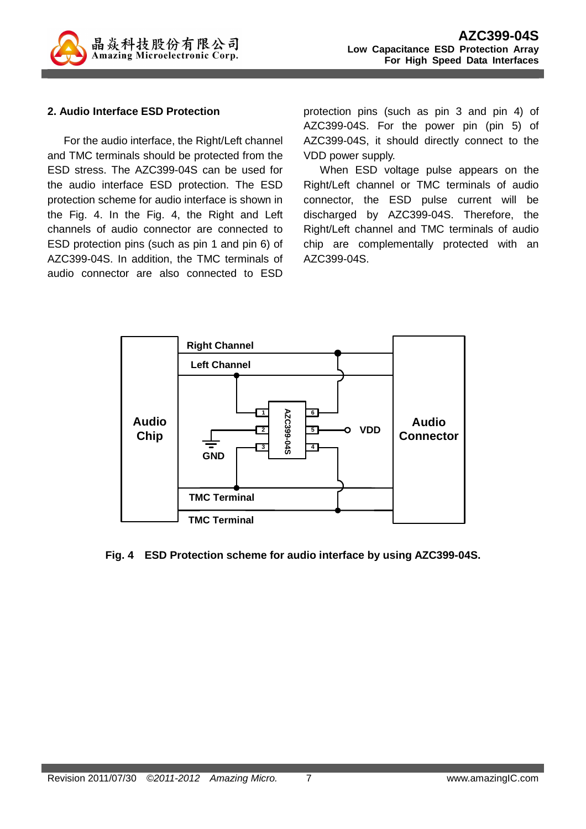

### **2. Audio Interface ESD Protection**

For the audio interface, the Right/Left channel and TMC terminals should be protected from the ESD stress. The AZC399-04S can be used for the audio interface ESD protection. The ESD protection scheme for audio interface is shown in the Fig. 4. In the Fig. 4, the Right and Left channels of audio connector are connected to ESD protection pins (such as pin 1 and pin 6) of AZC399-04S. In addition, the TMC terminals of audio connector are also connected to ESD

protection pins (such as pin 3 and pin 4) of AZC399-04S. For the power pin (pin 5) of AZC399-04S, it should directly connect to the VDD power supply.

When ESD voltage pulse appears on the Right/Left channel or TMC terminals of audio connector, the ESD pulse current will be discharged by AZC399-04S. Therefore, the Right/Left channel and TMC terminals of audio chip are complementally protected with an AZC399-04S.



### **Fig. 4 ESD Protection scheme for audio interface by using AZC399-04S.**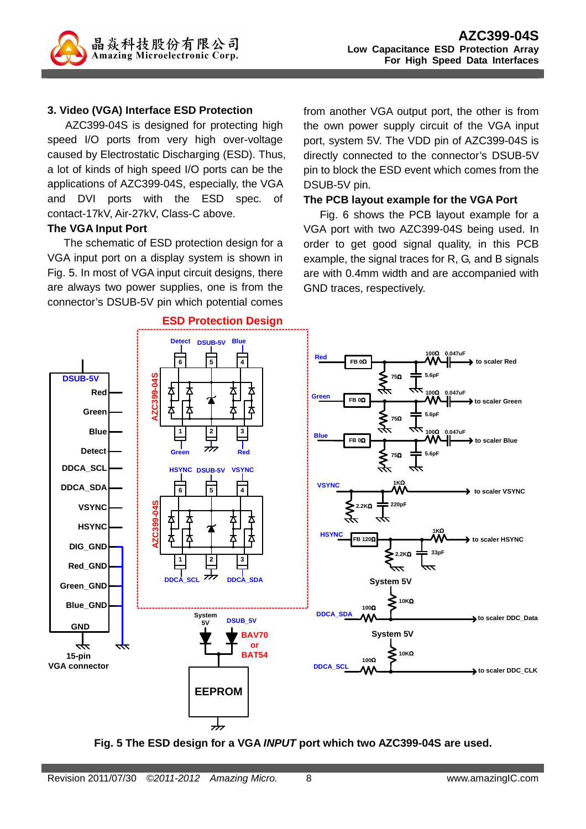

#### **3. Video (VGA) Interface ESD Protection**

AZC399-04S is designed for protecting high speed I/O ports from very high over-voltage caused by Electrostatic Discharging (ESD). Thus, a lot of kinds of high speed I/O ports can be the applications of AZC399-04S, especially, the VGA and DVI ports with the ESD spec. of contact-17kV, Air-27kV, Class-C above.

#### **The VGA Input Port**

The schematic of ESD protection design for a VGA input port on a display system is shown in Fig. 5. In most of VGA input circuit designs, there are always two power supplies, one is from the connector's DSUB-5V pin which potential comes from another VGA output port, the other is from the own power supply circuit of the VGA input port, system 5V. The VDD pin of AZC399-04S is directly connected to the connector's DSUB-5V pin to block the ESD event which comes from the DSUB-5V pin.

#### **The PCB layout example for the VGA Port**

Fig. 6 shows the PCB layout example for a VGA port with two AZC399-04S being used. In order to get good signal quality, in this PCB example, the signal traces for R, G, and B signals are with 0.4mm width and are accompanied with GND traces, respectively.



**Fig. 5 The ESD design for a VGA INPUT port which two AZC399-04S are used.**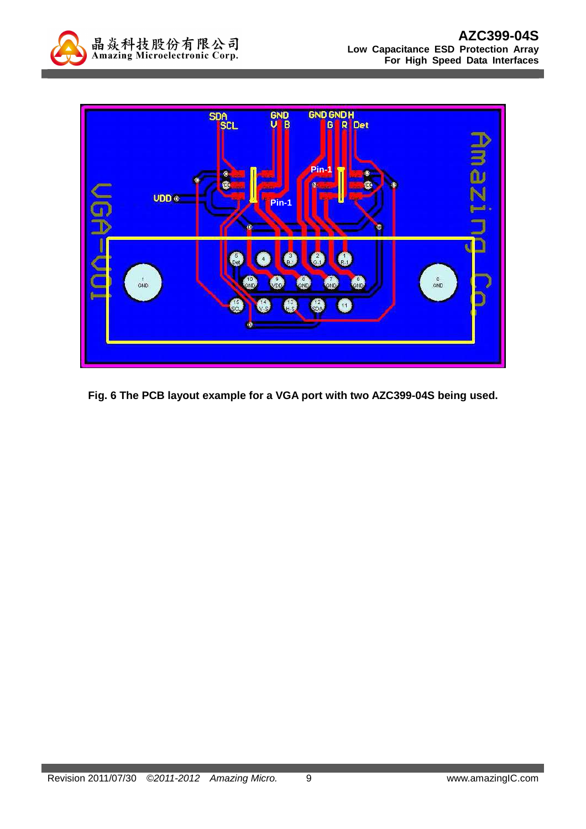



**Fig. 6 The PCB layout example for a VGA port with two AZC399-04S being used.**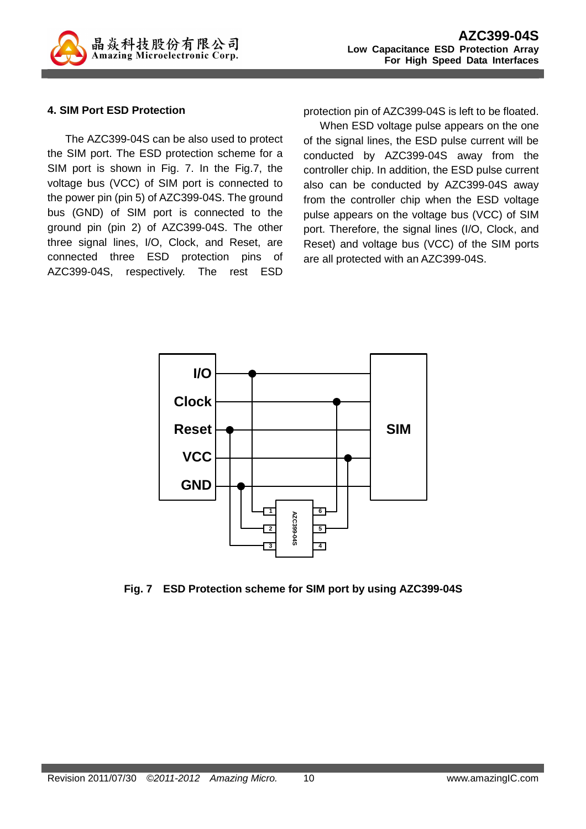

#### **4. SIM Port ESD Protection**

The AZC399-04S can be also used to protect the SIM port. The ESD protection scheme for a SIM port is shown in Fig. 7. In the Fig.7, the voltage bus (VCC) of SIM port is connected to the power pin (pin 5) of AZC399-04S. The ground bus (GND) of SIM port is connected to the ground pin (pin 2) of AZC399-04S. The other three signal lines, I/O, Clock, and Reset, are connected three ESD protection pins of AZC399-04S, respectively. The rest ESD protection pin of AZC399-04S is left to be floated.

When ESD voltage pulse appears on the one of the signal lines, the ESD pulse current will be conducted by AZC399-04S away from the controller chip. In addition, the ESD pulse current also can be conducted by AZC399-04S away from the controller chip when the ESD voltage pulse appears on the voltage bus (VCC) of SIM port. Therefore, the signal lines (I/O, Clock, and Reset) and voltage bus (VCC) of the SIM ports are all protected with an AZC399-04S.



**Fig. 7 ESD Protection scheme for SIM port by using AZC399-04S**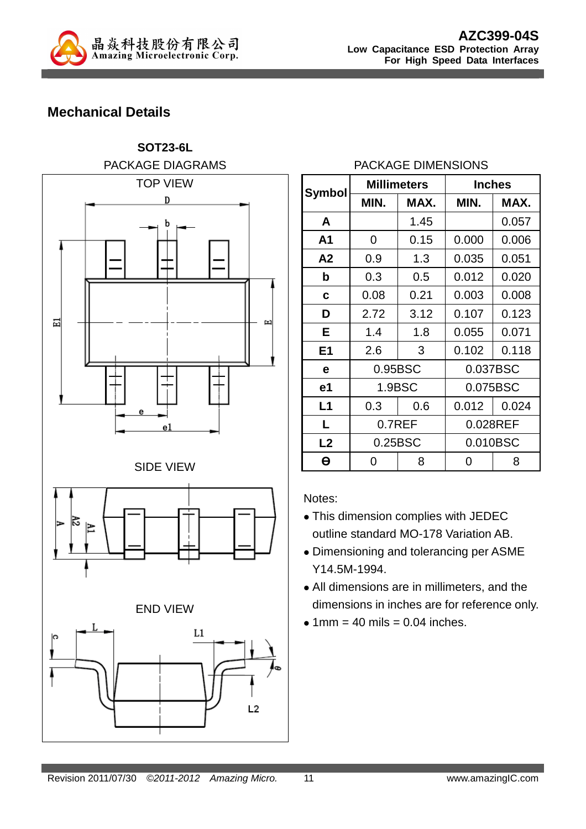

## **Mechanical Details**



### PACKAGE DIMENSIONS

| <b>Symbol</b>  |         | <b>Millimeters</b> | <b>Inches</b> |       |  |
|----------------|---------|--------------------|---------------|-------|--|
|                | MIN.    | MAX.               | MIN.          | MAX.  |  |
| A              |         | 1.45               |               | 0.057 |  |
| A <sub>1</sub> | 0       | 0.15               | 0.000         | 0.006 |  |
| A <sub>2</sub> | 0.9     | 1.3                | 0.035         | 0.051 |  |
| b              | 0.3     | 0.5                | 0.012         | 0.020 |  |
| C              | 0.08    | 0.21               | 0.003         | 0.008 |  |
| D              | 2.72    | 3.12               | 0.107         | 0.123 |  |
| Е              | 1.4     | 1.8                | 0.055         | 0.071 |  |
| E <sub>1</sub> | 2.6     | 3                  | 0.102         | 0.118 |  |
| e              | 0.95BSC |                    | 0.037BSC      |       |  |
| e1             | 1.9BSC  |                    | 0.075BSC      |       |  |
| L1             | 0.3     | 0.6                | 0.012         | 0.024 |  |
| L              | 0.7REF  |                    | 0.028REF      |       |  |
| L <sub>2</sub> | 0.25BSC |                    | 0.010BSC      |       |  |
| θ              | O       | 8                  | 0             | 8     |  |

Notes:

- This dimension complies with JEDEC outline standard MO-178 Variation AB.
- Dimensioning and tolerancing per ASME Y14.5M-1994.
- All dimensions are in millimeters, and the dimensions in inches are for reference only.
- $\bullet$  1mm = 40 mils = 0.04 inches.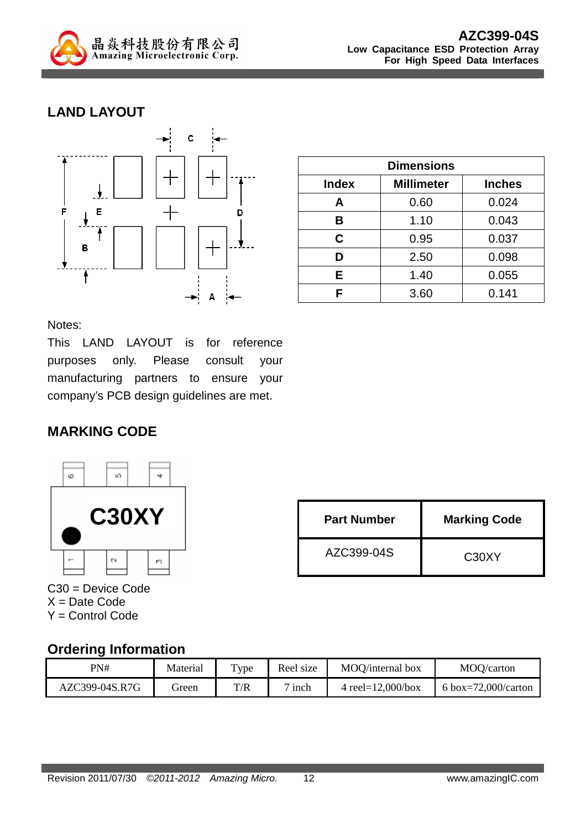

## **LAND LAYOUT**



| <b>Dimensions</b> |                   |               |  |
|-------------------|-------------------|---------------|--|
| <b>Index</b>      | <b>Millimeter</b> | <b>Inches</b> |  |
| A                 | 0.60              | 0.024         |  |
| B                 | 1.10              | 0.043         |  |
| C                 | 0.95              | 0.037         |  |
| D                 | 2.50              | 0.098         |  |
| Е                 | 1.40              | 0.055         |  |
| с                 | 3.60              | 0.141         |  |

Notes:

This LAND LAYOUT is for reference purposes only. Please consult your manufacturing partners to ensure your company's PCB design guidelines are met.

### **MARKING CODE**



**Part Number** Marking Code AZC399-04S C30XY

C30 = Device Code  $X = Date Code$ Y = Control Code

### **Ordering Information**

| PN#            | Material | Type | Reel size | MOO/internal box      | MOQ/carton          |
|----------------|----------|------|-----------|-----------------------|---------------------|
| AZC399-04S.R7G | freen    | T/R  | inch      | 4 reel= $12,000/b$ ox | 6 box=72,000/carton |